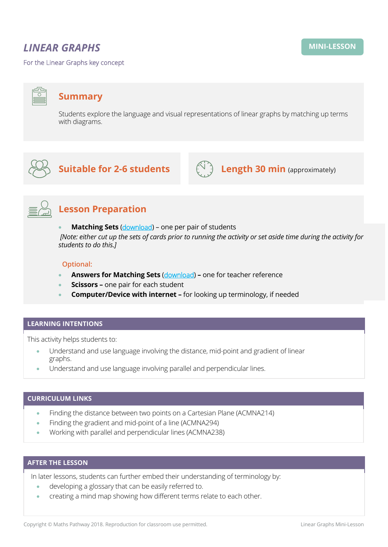# *LINEAR GRAPHS*

For the Linear Graphs key concept

## **Summary**

Students explore the language and visual representations of linear graphs by matching up terms with diagrams.



**Suitable for 2-6 students**  $\left(\bigcup_{i=1}^{n} A_i\right)$  **Length 30 min** (approximately)





# **Lesson Preparation**

**Matching Sets ([download](https://mpcontent.blob.core.windows.net/mini-lesson-resources/Linear%20Graphs%20-%20Matching%20sets.pdf))** – one per pair of students

*[Note: either cut up the sets of cards prior to running the activity or set aside time during the activity for students to do this.]* 

#### **Optional:**

- **Answers for Matching Sets** ([download](https://mpcontent.blob.core.windows.net/mini-lesson-resources/Linear%20Graphs%20-%20ANSWERS%20to%20Matching%20sets.pdf)) **–** one for teacher reference
- **Scissors –** one pair for each student
- **Computer/Device with internet –** for looking up terminology, if needed

#### **LEARNING INTENTIONS**

This activity helps students to:

- Understand and use language involving the distance, mid-point and gradient of linear graphs.
- Understand and use language involving parallel and perpendicular lines.

### **CURRICULUM LINKS**

- Finding the distance between two points on a Cartesian Plane (ACMNA214)
- Finding the gradient and mid-point of a line (ACMNA294)
- Working with parallel and perpendicular lines (ACMNA238)

### **AFTER THE LESSON**

In later lessons, students can further embed their understanding of terminology by:

- developing a glossary that can be easily referred to.
- creating a mind map showing how different terms relate to each other.